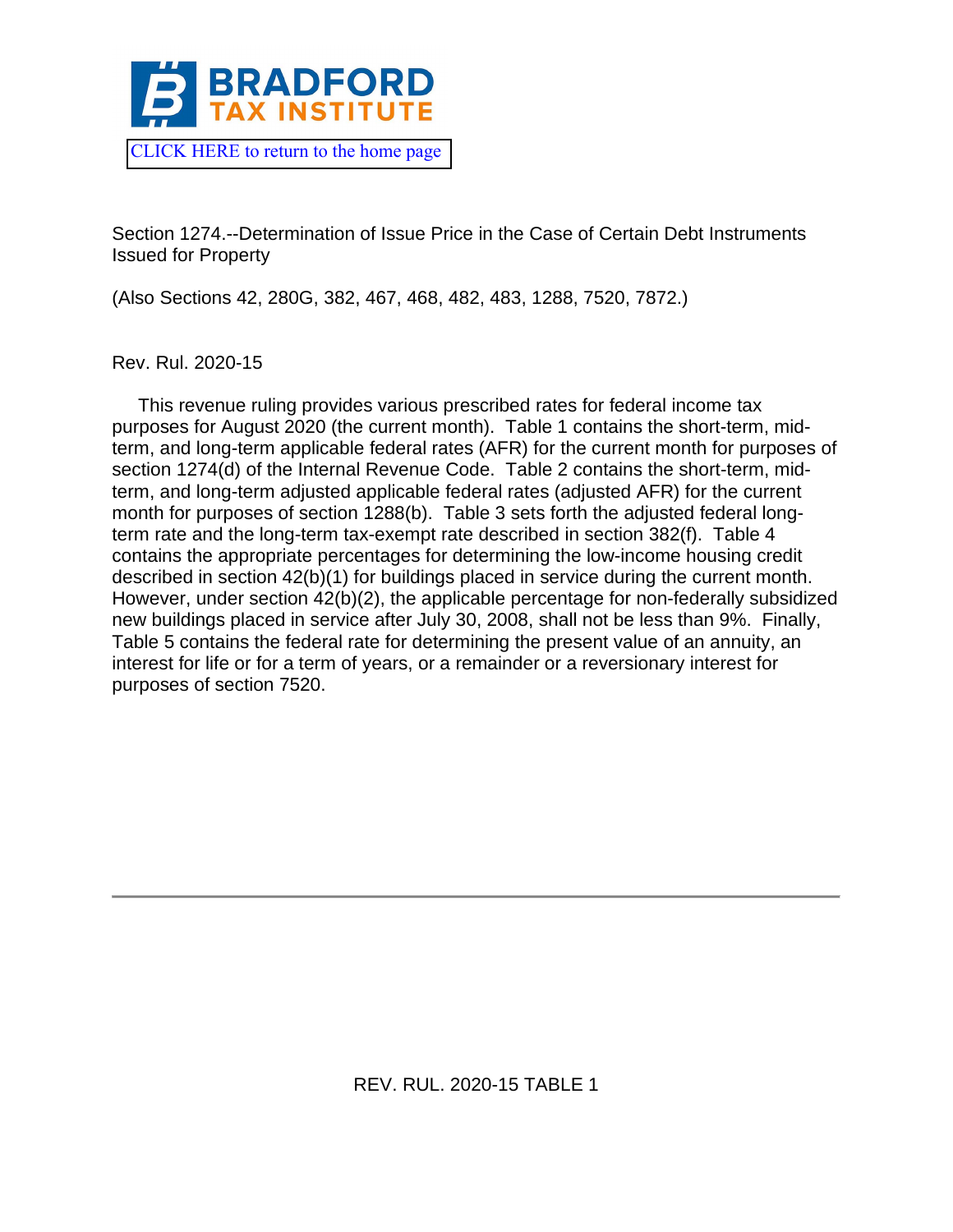

Section 1274.--Determination of Issue Price in the Case of Certain Debt Instruments Issued for Property

(Also Sections 42, 280G, 382, 467, 468, 482, 483, 1288, 7520, 7872.)

Rev. Rul. 2020-15

 This revenue ruling provides various prescribed rates for federal income tax purposes for August 2020 (the current month). Table 1 contains the short-term, midterm, and long-term applicable federal rates (AFR) for the current month for purposes of section 1274(d) of the Internal Revenue Code. Table 2 contains the short-term, midterm, and long-term adjusted applicable federal rates (adjusted AFR) for the current month for purposes of section 1288(b). Table 3 sets forth the adjusted federal longterm rate and the long-term tax-exempt rate described in section 382(f). Table 4 contains the appropriate percentages for determining the low-income housing credit described in section 42(b)(1) for buildings placed in service during the current month. However, under section 42(b)(2), the applicable percentage for non-federally subsidized new buildings placed in service after July 30, 2008, shall not be less than 9%. Finally, Table 5 contains the federal rate for determining the present value of an annuity, an interest for life or for a term of years, or a remainder or a reversionary interest for purposes of section 7520.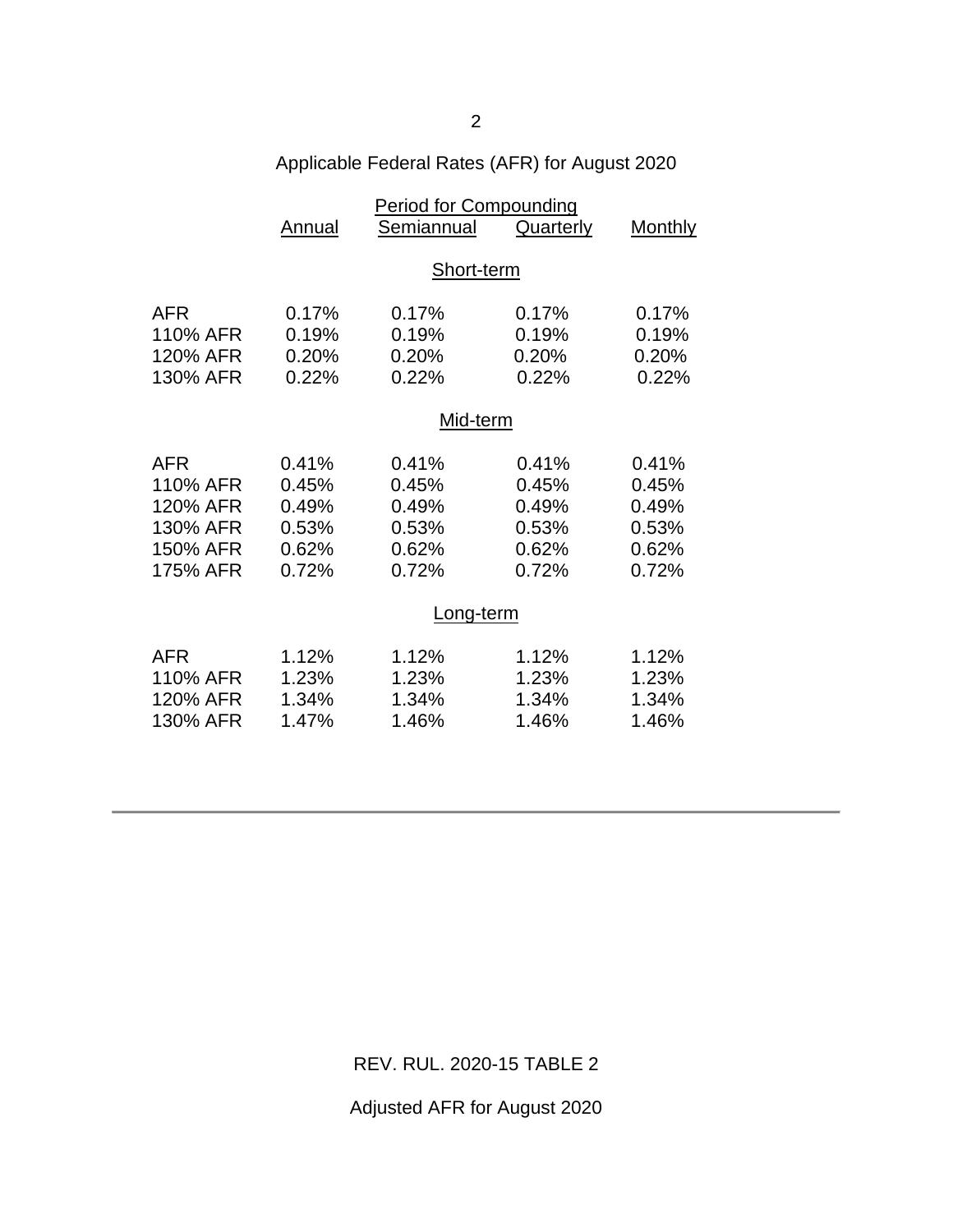| Applicable Federal Rates (AFR) for August 2020 |  |  |  |
|------------------------------------------------|--|--|--|
|                                                |  |  |  |

|            |           | <b>Period for Compounding</b> |           |                |  |
|------------|-----------|-------------------------------|-----------|----------------|--|
|            | Annual    | Semiannual                    | Quarterly | <b>Monthly</b> |  |
|            |           |                               |           |                |  |
|            |           | Short-term                    |           |                |  |
| <b>AFR</b> | 0.17%     | 0.17%                         | 0.17%     | 0.17%          |  |
| 110% AFR   | 0.19%     | 0.19%                         | 0.19%     | 0.19%          |  |
| 120% AFR   | 0.20%     | 0.20%                         | 0.20%     | 0.20%          |  |
| 130% AFR   | 0.22%     | 0.22%                         | 0.22%     | 0.22%          |  |
|            |           |                               |           |                |  |
|            | Mid-term  |                               |           |                |  |
| <b>AFR</b> | 0.41%     | 0.41%                         | 0.41%     | 0.41%          |  |
| 110% AFR   | 0.45%     | 0.45%                         | 0.45%     | 0.45%          |  |
| 120% AFR   | 0.49%     | 0.49%                         | 0.49%     | 0.49%          |  |
| 130% AFR   | 0.53%     | 0.53%                         | 0.53%     | 0.53%          |  |
| 150% AFR   | 0.62%     | 0.62%                         | 0.62%     | 0.62%          |  |
| 175% AFR   | 0.72%     | 0.72%                         | 0.72%     | 0.72%          |  |
|            |           |                               |           |                |  |
|            | Long-term |                               |           |                |  |
| <b>AFR</b> | 1.12%     | 1.12%                         | 1.12%     | 1.12%          |  |
| 110% AFR   | 1.23%     | 1.23%                         | 1.23%     | 1.23%          |  |
| 120% AFR   | 1.34%     | 1.34%                         | 1.34%     | 1.34%          |  |
| 130% AFR   | 1.47%     | 1.46%                         | 1.46%     | 1.46%          |  |
|            |           |                               |           |                |  |

REV. RUL. 2020-15 TABLE 2

Adjusted AFR for August 2020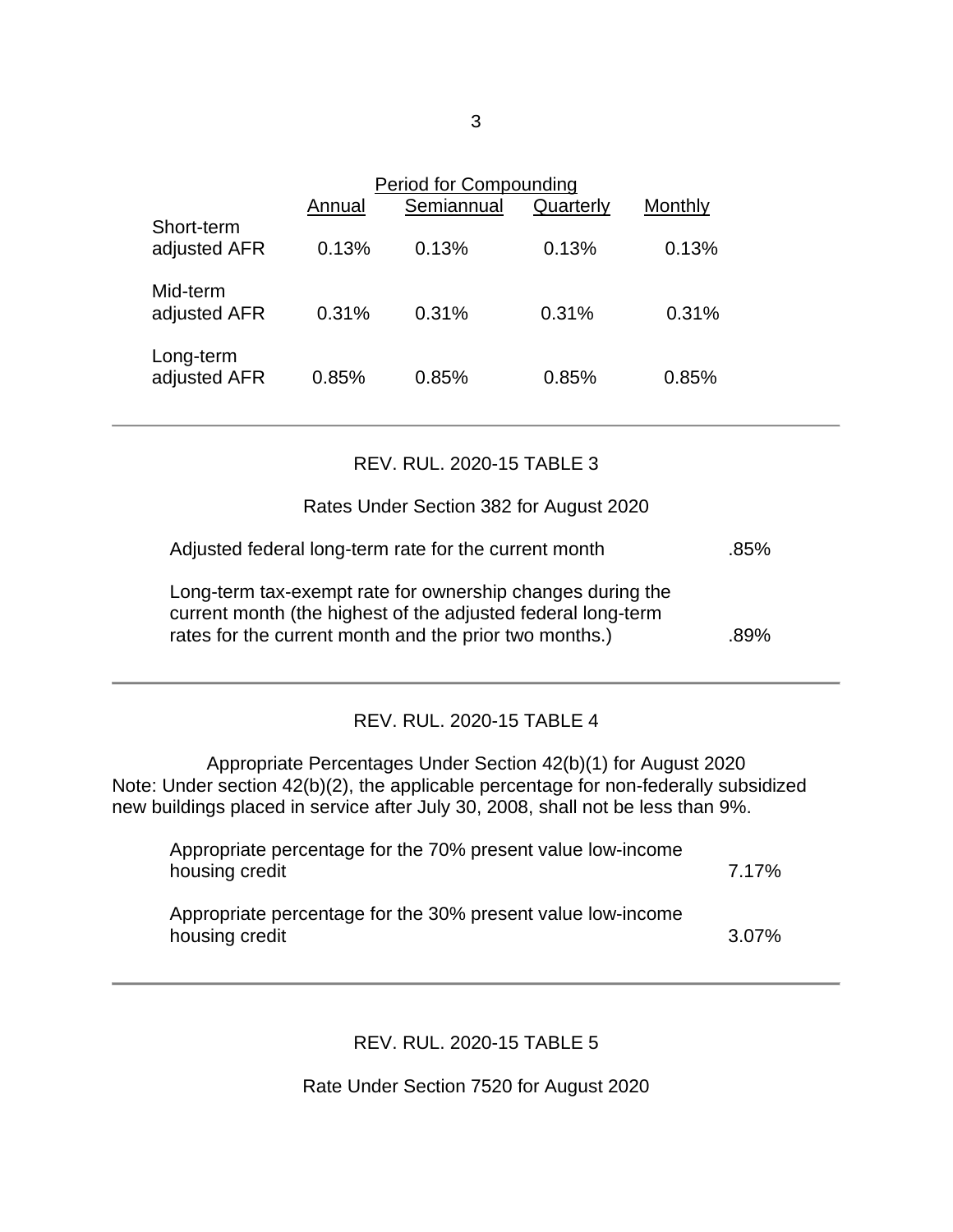|                            | Annual | Period for Compounding<br>Semiannual | Quarterly | Monthly |  |
|----------------------------|--------|--------------------------------------|-----------|---------|--|
| Short-term<br>adjusted AFR | 0.13%  | 0.13%                                | 0.13%     | 0.13%   |  |
| Mid-term<br>adjusted AFR   | 0.31%  | 0.31%                                | 0.31%     | 0.31%   |  |
| Long-term<br>adjusted AFR  | 0.85%  | 0.85%                                | 0.85%     | 0.85%   |  |

## REV. RUL. 2020-15 TABLE 3

## Rates Under Section 382 for August 2020

| Adjusted federal long-term rate for the current month | .85% |
|-------------------------------------------------------|------|
|                                                       |      |

Long-term tax-exempt rate for ownership changes during the current month (the highest of the adjusted federal long-term rates for the current month and the prior two months.) 39%

## REV. RUL. 2020-15 TABLE 4

Appropriate Percentages Under Section 42(b)(1) for August 2020 Note: Under section 42(b)(2), the applicable percentage for non-federally subsidized new buildings placed in service after July 30, 2008, shall not be less than 9%.

| Appropriate percentage for the 70% present value low-income<br>housing credit | 7.17% |
|-------------------------------------------------------------------------------|-------|
| Appropriate percentage for the 30% present value low-income<br>housing credit | 3.07% |

## REV. RUL. 2020-15 TABLE 5

Rate Under Section 7520 for August 2020